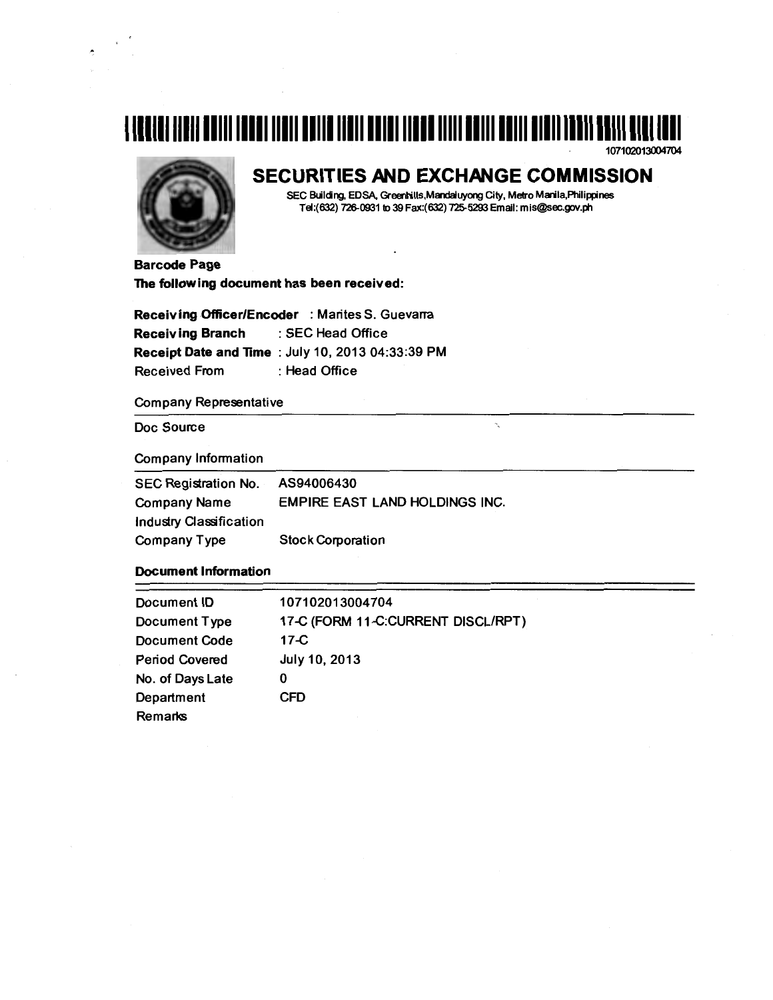# <u>112111111211 11211 12111 1221 11311 2211</u> 11311 22131 1132 11111 22111 22111 21211 12211 2211 2311

107102013004704



# **SECURITIES AND EXCHANGE COMMISSION**

SEC Building, EDSA, Greenhills,Mandaluyong City, Metro Manila,Philippines Tel:(632) 726-0931 to 39 Fax:(632) 725-5293 Email: mis@sec.gov.ph

Ň,

Barcode Page The following document has been received:

| Receiving Officer/Encoder : Marites S. Guevarra |                                                   |  |  |  |
|-------------------------------------------------|---------------------------------------------------|--|--|--|
| Receiving Branch                                | : SEC Head Office                                 |  |  |  |
|                                                 | Receipt Date and Time : July 10, 2013 04:33:39 PM |  |  |  |
| Received From                                   | : Head Office                                     |  |  |  |

# Company Representative

Doc Source

Company Information

| <b>SEC Registration No.</b> | AS94006430                            |
|-----------------------------|---------------------------------------|
| <b>Company Name</b>         | <b>EMPIRE EAST LAND HOLDINGS INC.</b> |
| Industry Classification     |                                       |
| Company Type                | <b>Stock Corporation</b>              |

# Document Information

| Document ID           | 107102013004704                    |
|-----------------------|------------------------------------|
| Document Type         | 17-C (FORM 11-C:CURRENT DISCL/RPT) |
| <b>Document Code</b>  | $17-C$                             |
| <b>Period Covered</b> | July 10, 2013                      |
| No. of Days Late      | 0                                  |
| Department            | CFD                                |
| Remarks               |                                    |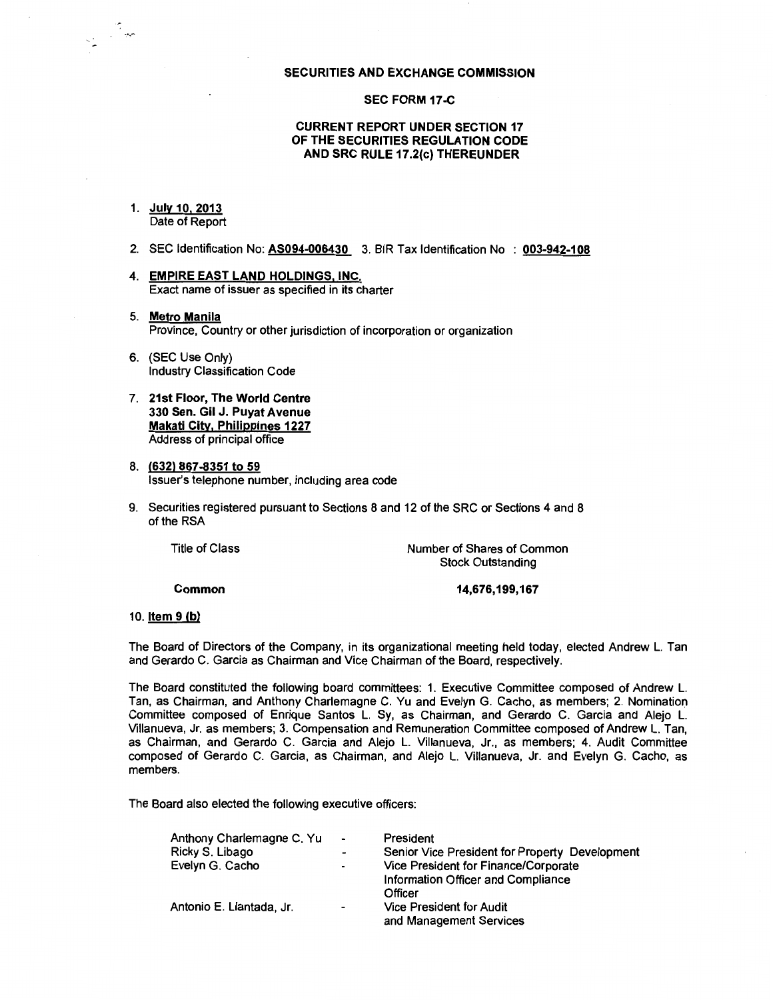#### **SECURITIES AND EXCHANGE COMMISSION**

#### **SEC FORM 17 -C**

# **CURRENT REPORT UNDER SECTION 17 OF THE SECURITIES REGULATION CODE AND SRC RULE 17.2(c) THEREUNDER**

#### 1. **July 10.2013**  Date of Report

- 2. SEC Identification No: **AS094-006430** 3. BIR Tax Identification No : 003-942-108
- **4. EMPIRE EAST LAND HOLDINGS, INC.**  Exact name of issuer as specified in its charter
- 5. **Metro Manila**  Province, Country or other jurisdiction of incorporation or organization
- 6. (SEC Use Only) Industry Classification Code
- 7. **21st Floor, The World Centre 330 Sen. Gil J. Puyat Avenue Makati City, Philippines 1227**  Address of principal office
- 8. **(632) 867-8351 to 59**  Issuer's telephone number, including area code
- 9. Securities registered pursuant to Sections 8 and 12 of the SRC or Sections 4 and 8 of the RSA

| Title of Class | Number of Shares of Common |
|----------------|----------------------------|
|                | <b>Stock Outstanding</b>   |
|                |                            |

**Common** 

**14,676,199,167** 

#### 10. **Item 9 (b)**

The Board of Directors of the Company, in its organizational meeting held today, elected Andrew L. Tan and Gerardo C. Garcia as Chairman and Vice Chairman of the Board, respectively.

The Board constituted the following board committees: 1. Executive Committee composed of Andrew L. Tan, as Chairman, and Anthony Charlemagne C. Yu and Evelyn G. Cacho, as members; 2. Nomination Committee composed of Enrique Santos L. Sy, as Chairman, and Gerardo C. Garcia and Alejo L. Villanueva, Jr. as members; 3. Compensation and Remuneration Committee composed of Andrew L. Tan, as Chairman, and Gerardo C. Garcia and Alejo L. Villanueva, Jr., as members; 4. Audit Committee composed of Gerardo C. Garcia, as Chairman, and Alejo L. Villanueva, Jr. and Evelyn G. Cacho, as members.

The Board also elected the following executive officers:

| Anthony Charlemagne C. Yu | $\hat{\phantom{a}}$      | President                                      |
|---------------------------|--------------------------|------------------------------------------------|
| Ricky S. Libago           | $\overline{\phantom{0}}$ | Senior Vice President for Property Development |
| Evelyn G. Cacho           | $\overline{\phantom{0}}$ | Vice President for Finance/Corporate           |
|                           |                          | Information Officer and Compliance             |
|                           |                          | Officer                                        |
| Antonio E. Llantada, Jr.  | $\overline{a}$           | <b>Vice President for Audit</b>                |
|                           |                          | and Management Services                        |